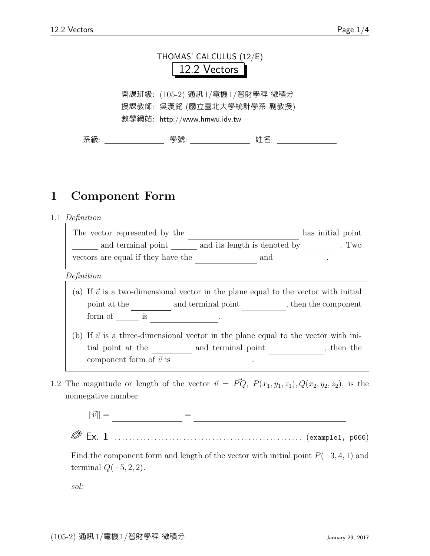

開課班級: (105-2) 通訊1/電機1/智財學程 微積分 授課教師: 吳漢銘 (國立臺北大學統計學系 副教授) 教學網站: http://www.hmwu.idv.tw

系級: 學號: 姓名:

# 1 Component Form

1.1 Definition

| The vector represented by the      | has initial point                   |
|------------------------------------|-------------------------------------|
| and terminal point                 | and its length is denoted by<br>Two |
| vectors are equal if they have the | and                                 |

Definition

- (a) If  $\vec{v}$  is a two-dimensional vector in the plane equal to the vector with initial point at the  $\qquad \qquad$  and terminal point  $\qquad \qquad$ , then the component  $form of \underline{\hspace{1cm}} is$  .
- (b) If  $\vec{v}$  is a three-dimensional vector in the plane equal to the vector with initial point at the  $\qquad \qquad$  and terminal point  $\qquad \qquad$ , then the component form of  $\vec{v}$  is  $\sim$
- 1.2 The magnitude or length of the vector  $\vec{v} = \vec{PQ}$ ,  $P(x_1, y_1, z_1), Q(x_2, y_2, z_2)$ , is the nonnegative number





Find the component form and length of the vector with initial point  $P(-3, 4, 1)$  and terminal  $Q(-5, 2, 2)$ .

sol: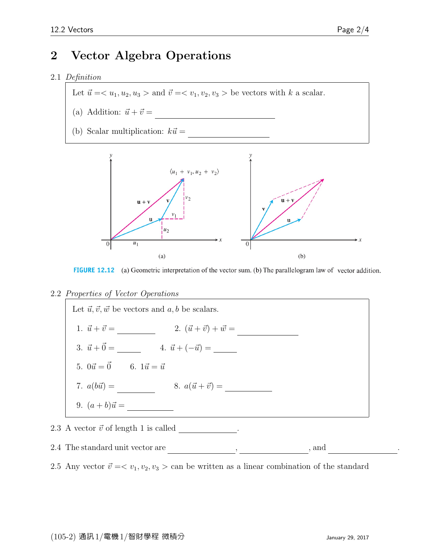## 2 Vector Algebra Operations

#### 2.1 Definition

Let  $\vec{u} = \langle u_1, u_2, u_3 \rangle$  and  $\vec{v} = \langle v_1, v_2, v_3 \rangle$  be vectors with k a scalar.

- (a) Addition:  $\vec{u} + \vec{v} =$
- (b) Scalar multiplication:  $k\vec{u} =$



FIGURE 12.12 (a) Geometric interpretation of the vector sum. (b) The parallelogram law of vector addition.

2.2 Properties of Vector Operations



### 2.4 The standard unit vector are  $\_\_\_\_\_\_$ , and  $\_\_\_\_\_\_\_\_\_$

2.5 Any vector  $\vec{v} = \langle v_1, v_2, v_3 \rangle$  can be written as a linear combination of the standard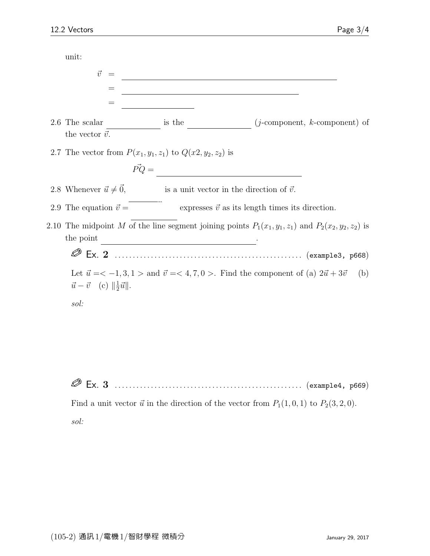| unit:                                                                                                                                                               |                                                                                                                     |                                                        |  |
|---------------------------------------------------------------------------------------------------------------------------------------------------------------------|---------------------------------------------------------------------------------------------------------------------|--------------------------------------------------------|--|
| $\vec{v}$<br>$=$                                                                                                                                                    | <u> 1980 - Johann Barn, mars eta bainar eta baina eta baina eta baina eta baina eta baina eta baina eta baina e</u> |                                                        |  |
| $=$                                                                                                                                                                 |                                                                                                                     |                                                        |  |
| 2.6 The scalar<br>the vector $\vec{v}.$                                                                                                                             | is the                                                                                                              | $(j$ -component, $k$ -component) of                    |  |
| 2.7 The vector from $P(x_1, y_1, z_1)$ to $Q(x_2, y_2, z_2)$ is                                                                                                     |                                                                                                                     |                                                        |  |
| $\vec{PQ} = \frac{1}{\sqrt{1 - \frac{1}{2} \sum_{i=1}^{n} (1 - \vec{q}_i)^2} \left( \frac{1}{2} \vec{q}_i - \vec{q}_i \right)}$                                     |                                                                                                                     |                                                        |  |
| 2.8 Whenever $\vec{u} \neq \vec{0}$ ,                                                                                                                               | is a unit vector in the direction of $\vec{v}$ .                                                                    |                                                        |  |
| 2.9 The equation $\vec{v} =$                                                                                                                                        |                                                                                                                     | expresses $\vec{v}$ as its length times its direction. |  |
| 2.10 The midpoint M of the line segment joining points $P_1(x_1, y_1, z_1)$ and $P_2(x_2, y_2, z_2)$ is<br>the point                                                |                                                                                                                     |                                                        |  |
|                                                                                                                                                                     |                                                                                                                     |                                                        |  |
| Let $\vec{u} = <-1, 3, 1>$ and $\vec{v} = <4, 7, 0>$ . Find the component of (a) $2\vec{u} + 3\vec{v}$<br>(b)<br>$\vec{u} - \vec{v}$ (c) $\ \frac{1}{2}\vec{u}\ $ . |                                                                                                                     |                                                        |  |
| sol:                                                                                                                                                                |                                                                                                                     |                                                        |  |
|                                                                                                                                                                     |                                                                                                                     |                                                        |  |
|                                                                                                                                                                     |                                                                                                                     |                                                        |  |
|                                                                                                                                                                     |                                                                                                                     |                                                        |  |
| Ex. $3$                                                                                                                                                             |                                                                                                                     | (example4, p669)                                       |  |

Find a unit vector  $\vec{u}$  in the direction of the vector from  $P_1(1, 0, 1)$  to  $P_2(3, 2, 0)$ . sol: